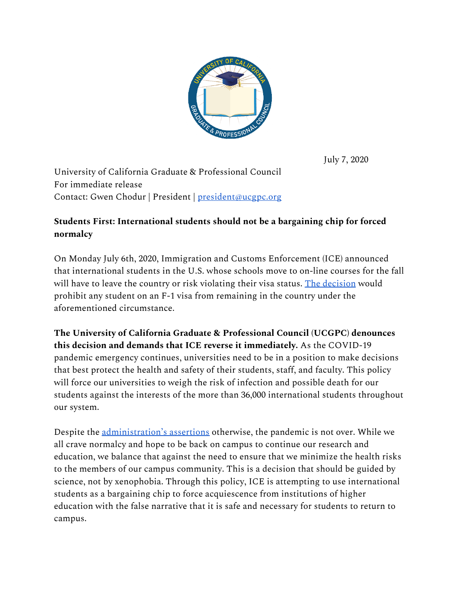

July 7, 2020

University of California Graduate & Professional Council For immediate release Contact: Gwen Chodur | President | [president@ucgpc.org](mailto:president@ucgpc.org)

## **Students First: International students should not be a bargaining chip for forced normalcy**

On Monday July 6th, 2020, Immigration and Customs Enforcement (ICE) announced that international students in the U.S. whose schools move to on-line courses for the fall will have to leave the country or risk violating their visa status. The [decision](https://www.ice.gov/news/releases/sevp-modifies-temporary-exemptions-nonimmigrant-students-taking-online-courses-during#wcm-survey-target-id) would prohibit any student on an F-1 visa from remaining in the country under the aforementioned circumstance.

**The University of California Graduate & Professional Council (UCGPC) denounces this decision and demands that ICE reverse it immediately.** As the COVID-19 pandemic emergency continues, universities need to be in a position to make decisions that best protect the health and safety of their students, staff, and faculty. This policy will force our universities to weigh the risk of infection and possible death for our students against the interests of the more than 36,000 international students throughout our system.

Despite the [administration's](https://www.wsj.com/articles/trump-administration-pushes-for-schools-to-reopen-11594137764) assertions otherwise, the pandemic is not over. While we all crave normalcy and hope to be back on campus to continue our research and education, we balance that against the need to ensure that we minimize the health risks to the members of our campus community. This is a decision that should be guided by science, not by xenophobia. Through this policy, ICE is attempting to use international students as a bargaining chip to force acquiescence from institutions of higher education with the false narrative that it is safe and necessary for students to return to campus.